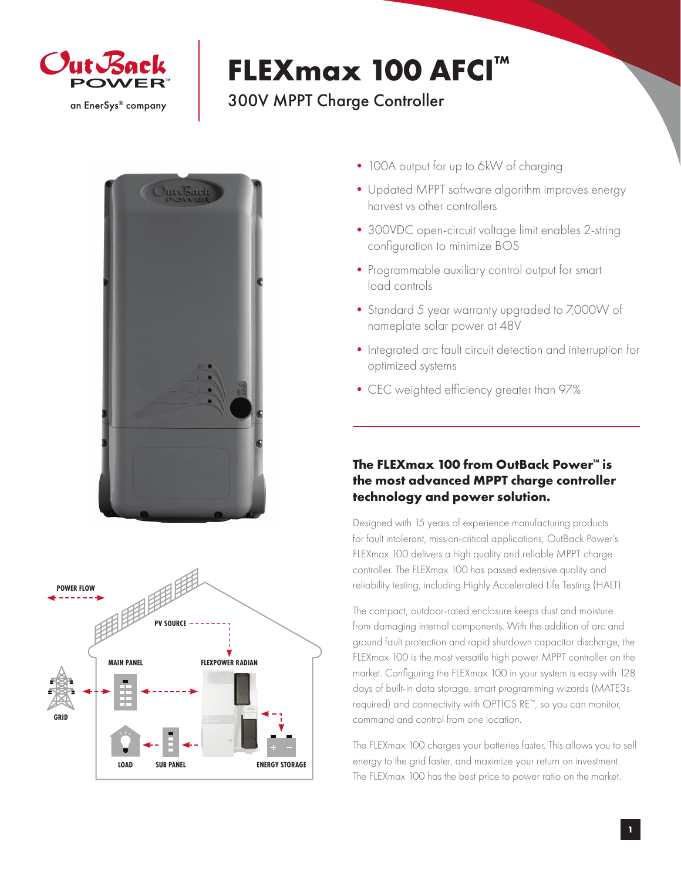

## **FLEXmax 100 AFCI™**

## 300V MPPT Charge Controller





- 100A output for up to 6kW of charging
- Updated MPPT software algorithm improves energy harvest vs other controllers
- 300VDC open-circuit voltage limit enables 2-string configuration to minimize BOS
- Programmable auxiliary control output for smart load controls
- •Standard 5 year warranty upgraded to 7,000W of nameplate solar power at 48V
- Integrated arc fault circuit detection and interruption for optimized systems
- •CEC weighted efficiency greater than 97%

## **The FLEXmax 100 from OutBack Power™ is the most advanced MPPT charge controller technology and power solution.**

Designed with 15 years of experience manufacturing products for fault intolerant, mission-critical applications, OutBack Power's FLEXmax 100 delivers a high quality and reliable MPPT charge controller. The FLEXmax 100 has passed extensive quality and reliability testing, including Highly Accelerated Life Testing (HALT).

The compact, outdoor-rated enclosure keeps dust and moisture from damaging internal components. With the addition of arc and ground fault protection and rapid shutdown capacitor discharge, the FLEXmax 100 is the most versatile high power MPPT controller on the market. Configuring the FLEXmax 100 in your system is easy with 128 days of built-in data storage, smart programming wizards (MATE3s required) and connectivity with OPTICS RE™, so you can monitor, command and control from one location.

The FLEXmax 100 charges your batteries faster. This allows you to sell energy to the grid faster, and maximize your return on investment. The FLEXmax 100 has the best price to power ratio on the market.